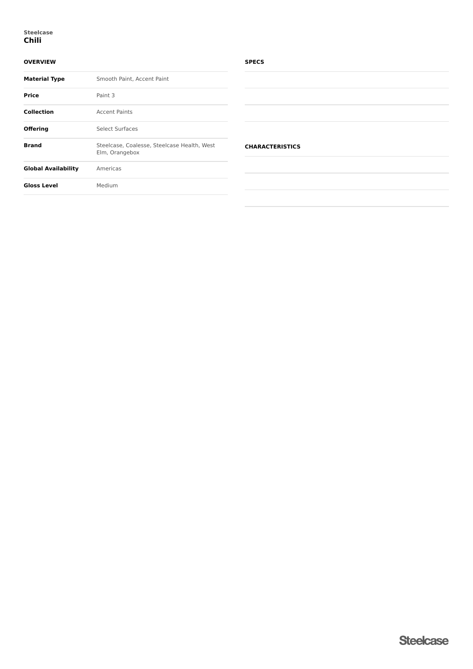# **OVERVIEW**

| <b>Material Type</b>       | Smooth Paint, Accent Paint                                    |  |  |
|----------------------------|---------------------------------------------------------------|--|--|
| Price                      | Paint 3                                                       |  |  |
| <b>Collection</b>          | <b>Accent Paints</b>                                          |  |  |
| <b>Offering</b>            | Select Surfaces                                               |  |  |
| <b>Brand</b>               | Steelcase, Coalesse, Steelcase Health, West<br>Elm, Orangebox |  |  |
| <b>Global Availability</b> | Americas                                                      |  |  |
| <b>Gloss Level</b>         | Medium                                                        |  |  |

## **SPECS**

| <b>CHARACTERISTICS</b> |  |  |
|------------------------|--|--|